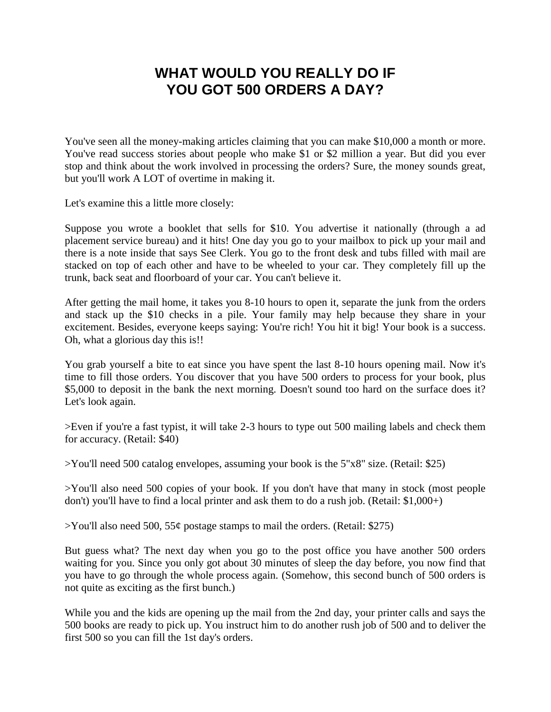## **WHAT WOULD YOU REALLY DO IF YOU GOT 500 ORDERS A DAY?**

You've seen all the money-making articles claiming that you can make \$10,000 a month or more. You've read success stories about people who make \$1 or \$2 million a year. But did you ever stop and think about the work involved in processing the orders? Sure, the money sounds great, but you'll work A LOT of overtime in making it.

Let's examine this a little more closely:

Suppose you wrote a booklet that sells for \$10. You advertise it nationally (through a ad placement service bureau) and it hits! One day you go to your mailbox to pick up your mail and there is a note inside that says See Clerk. You go to the front desk and tubs filled with mail are stacked on top of each other and have to be wheeled to your car. They completely fill up the trunk, back seat and floorboard of your car. You can't believe it.

After getting the mail home, it takes you 8-10 hours to open it, separate the junk from the orders and stack up the \$10 checks in a pile. Your family may help because they share in your excitement. Besides, everyone keeps saying: You're rich! You hit it big! Your book is a success. Oh, what a glorious day this is!!

You grab yourself a bite to eat since you have spent the last 8-10 hours opening mail. Now it's time to fill those orders. You discover that you have 500 orders to process for your book, plus \$5,000 to deposit in the bank the next morning. Doesn't sound too hard on the surface does it? Let's look again.

 $>E$ ven if you're a fast typist, it will take 2-3 hours to type out 500 mailing labels and check them for accuracy. (Retail: \$40)

>You'll need 500 catalog envelopes, assuming your book is the 5"x8" size. (Retail: \$25)

>You'll also need 500 copies of your book. If you don't have that many in stock (most people don't) you'll have to find a local printer and ask them to do a rush job. (Retail: \$1,000+)

 $>$ You'll also need 500, 55¢ postage stamps to mail the orders. (Retail: \$275)

But guess what? The next day when you go to the post office you have another 500 orders waiting for you. Since you only got about 30 minutes of sleep the day before, you now find that you have to go through the whole process again. (Somehow, this second bunch of 500 orders is not quite as exciting as the first bunch.)

While you and the kids are opening up the mail from the 2nd day, your printer calls and says the 500 books are ready to pick up. You instruct him to do another rush job of 500 and to deliver the first 500 so you can fill the 1st day's orders.